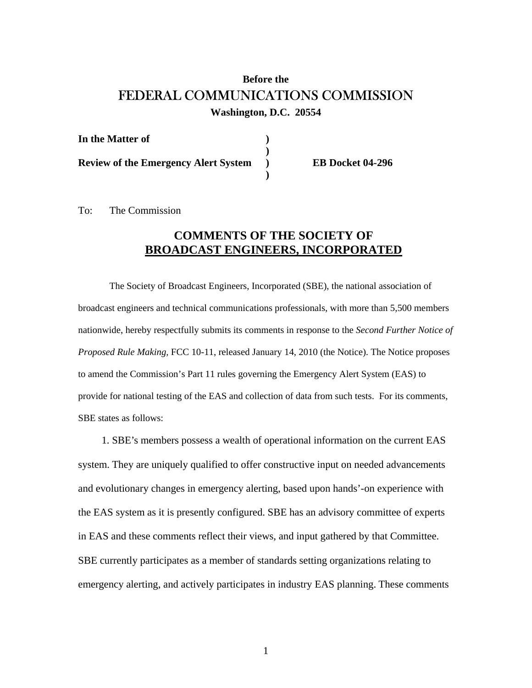## **Before the**  FEDERAL COMMUNICATIONS COMMISSION

**Washington, D.C. 20554** 

| In the Matter of                            |    |
|---------------------------------------------|----|
| <b>Review of the Emergency Alert System</b> | E. |
|                                             |    |

**R** Docket 04-296

To: The Commission

## **COMMENTS OF THE SOCIETY OF BROADCAST ENGINEERS, INCORPORATED**

 The Society of Broadcast Engineers, Incorporated (SBE), the national association of broadcast engineers and technical communications professionals, with more than 5,500 members nationwide, hereby respectfully submits its comments in response to the *Second Further Notice of Proposed Rule Making,* FCC 10-11, released January 14, 2010 (the Notice). The Notice proposes to amend the Commission's Part 11 rules governing the Emergency Alert System (EAS) to provide for national testing of the EAS and collection of data from such tests. For its comments, SBE states as follows:

 1. SBE's members possess a wealth of operational information on the current EAS system. They are uniquely qualified to offer constructive input on needed advancements and evolutionary changes in emergency alerting, based upon hands'-on experience with the EAS system as it is presently configured. SBE has an advisory committee of experts in EAS and these comments reflect their views, and input gathered by that Committee. SBE currently participates as a member of standards setting organizations relating to emergency alerting, and actively participates in industry EAS planning. These comments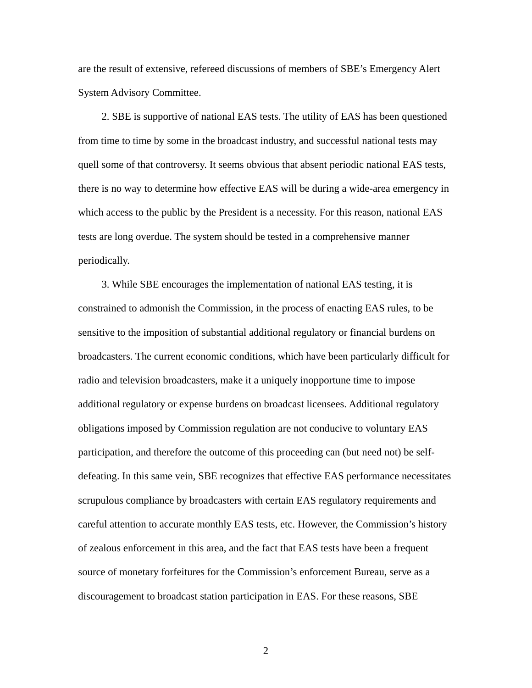are the result of extensive, refereed discussions of members of SBE's Emergency Alert System Advisory Committee.

 2. SBE is supportive of national EAS tests. The utility of EAS has been questioned from time to time by some in the broadcast industry, and successful national tests may quell some of that controversy. It seems obvious that absent periodic national EAS tests, there is no way to determine how effective EAS will be during a wide-area emergency in which access to the public by the President is a necessity. For this reason, national EAS tests are long overdue. The system should be tested in a comprehensive manner periodically.

 3. While SBE encourages the implementation of national EAS testing, it is constrained to admonish the Commission, in the process of enacting EAS rules, to be sensitive to the imposition of substantial additional regulatory or financial burdens on broadcasters. The current economic conditions, which have been particularly difficult for radio and television broadcasters, make it a uniquely inopportune time to impose additional regulatory or expense burdens on broadcast licensees. Additional regulatory obligations imposed by Commission regulation are not conducive to voluntary EAS participation, and therefore the outcome of this proceeding can (but need not) be selfdefeating. In this same vein, SBE recognizes that effective EAS performance necessitates scrupulous compliance by broadcasters with certain EAS regulatory requirements and careful attention to accurate monthly EAS tests, etc. However, the Commission's history of zealous enforcement in this area, and the fact that EAS tests have been a frequent source of monetary forfeitures for the Commission's enforcement Bureau, serve as a discouragement to broadcast station participation in EAS. For these reasons, SBE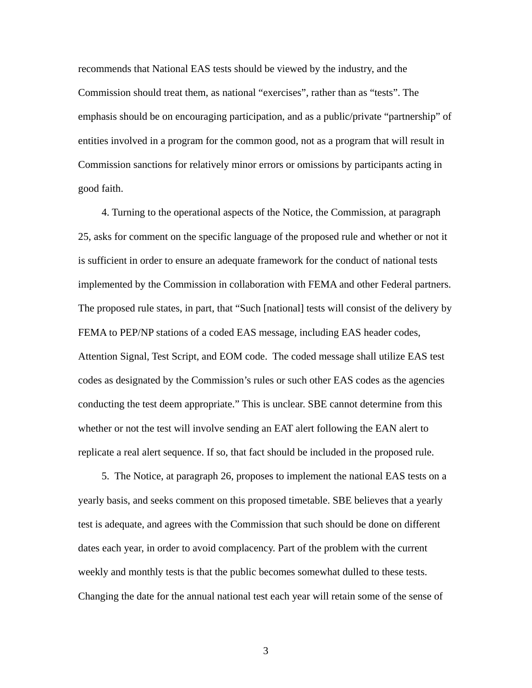recommends that National EAS tests should be viewed by the industry, and the Commission should treat them, as national "exercises", rather than as "tests". The emphasis should be on encouraging participation, and as a public/private "partnership" of entities involved in a program for the common good, not as a program that will result in Commission sanctions for relatively minor errors or omissions by participants acting in good faith.

 4. Turning to the operational aspects of the Notice, the Commission, at paragraph 25, asks for comment on the specific language of the proposed rule and whether or not it is sufficient in order to ensure an adequate framework for the conduct of national tests implemented by the Commission in collaboration with FEMA and other Federal partners. The proposed rule states, in part, that "Such [national] tests will consist of the delivery by FEMA to PEP/NP stations of a coded EAS message, including EAS header codes, Attention Signal, Test Script, and EOM code. The coded message shall utilize EAS test codes as designated by the Commission's rules or such other EAS codes as the agencies conducting the test deem appropriate." This is unclear. SBE cannot determine from this whether or not the test will involve sending an EAT alert following the EAN alert to replicate a real alert sequence. If so, that fact should be included in the proposed rule.

 5. The Notice, at paragraph 26, proposes to implement the national EAS tests on a yearly basis, and seeks comment on this proposed timetable. SBE believes that a yearly test is adequate, and agrees with the Commission that such should be done on different dates each year, in order to avoid complacency. Part of the problem with the current weekly and monthly tests is that the public becomes somewhat dulled to these tests. Changing the date for the annual national test each year will retain some of the sense of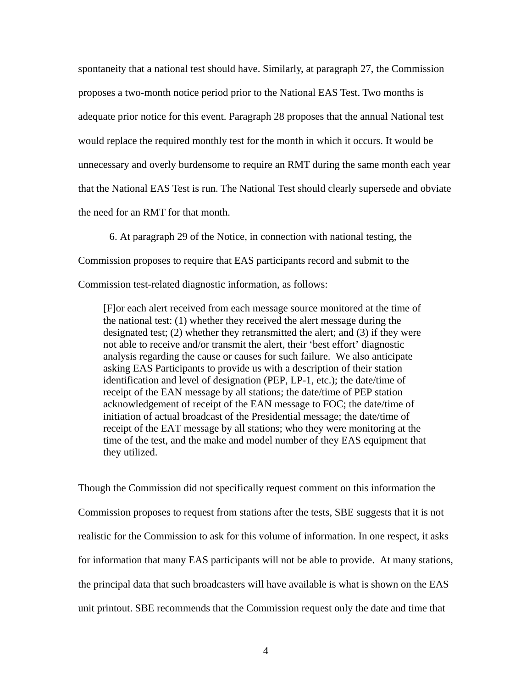spontaneity that a national test should have. Similarly, at paragraph 27, the Commission proposes a two-month notice period prior to the National EAS Test. Two months is adequate prior notice for this event. Paragraph 28 proposes that the annual National test would replace the required monthly test for the month in which it occurs. It would be unnecessary and overly burdensome to require an RMT during the same month each year that the National EAS Test is run. The National Test should clearly supersede and obviate the need for an RMT for that month.

6. At paragraph 29 of the Notice, in connection with national testing, the Commission proposes to require that EAS participants record and submit to the Commission test-related diagnostic information, as follows:

[F]or each alert received from each message source monitored at the time of the national test: (1) whether they received the alert message during the designated test; (2) whether they retransmitted the alert; and (3) if they were not able to receive and/or transmit the alert, their 'best effort' diagnostic analysis regarding the cause or causes for such failure. We also anticipate asking EAS Participants to provide us with a description of their station identification and level of designation (PEP, LP-1, etc.); the date/time of receipt of the EAN message by all stations; the date/time of PEP station acknowledgement of receipt of the EAN message to FOC; the date/time of initiation of actual broadcast of the Presidential message; the date/time of receipt of the EAT message by all stations; who they were monitoring at the time of the test, and the make and model number of they EAS equipment that they utilized.

Though the Commission did not specifically request comment on this information the Commission proposes to request from stations after the tests, SBE suggests that it is not realistic for the Commission to ask for this volume of information. In one respect, it asks for information that many EAS participants will not be able to provide. At many stations, the principal data that such broadcasters will have available is what is shown on the EAS unit printout. SBE recommends that the Commission request only the date and time that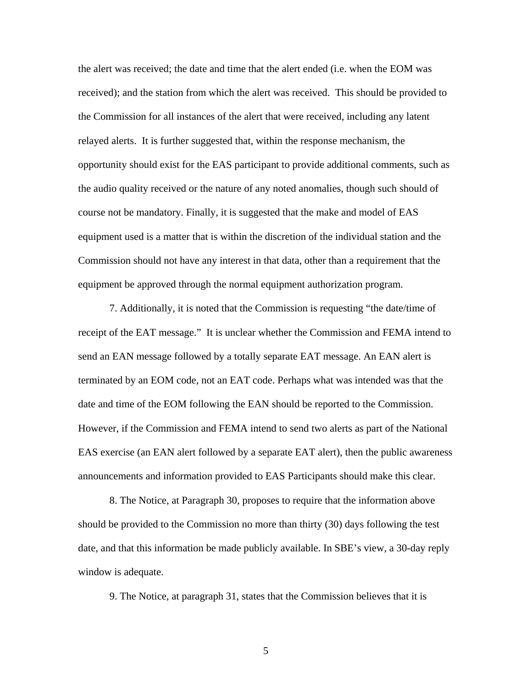the alert was received; the date and time that the alert ended (i.e. when the EOM was received); and the station from which the alert was received. This should be provided to the Commission for all instances of the alert that were received, including any latent relayed alerts. It is further suggested that, within the response mechanism, the opportunity should exist for the EAS participant to provide additional comments, such as the audio quality received or the nature of any noted anomalies, though such should of course not be mandatory. Finally, it is suggested that the make and model of EAS equipment used is a matter that is within the discretion of the individual station and the Commission should not have any interest in that data, other than a requirement that the equipment be approved through the normal equipment authorization program.

 7. Additionally, it is noted that the Commission is requesting "the date/time of receipt of the EAT message." It is unclear whether the Commission and FEMA intend to send an EAN message followed by a totally separate EAT message. An EAN alert is terminated by an EOM code, not an EAT code. Perhaps what was intended was that the date and time of the EOM following the EAN should be reported to the Commission. However, if the Commission and FEMA intend to send two alerts as part of the National EAS exercise (an EAN alert followed by a separate EAT alert), then the public awareness announcements and information provided to EAS Participants should make this clear.

8. The Notice, at Paragraph 30, proposes to require that the information above should be provided to the Commission no more than thirty (30) days following the test date, and that this information be made publicly available. In SBE's view, a 30-day reply window is adequate.

9. The Notice, at paragraph 31, states that the Commission believes that it is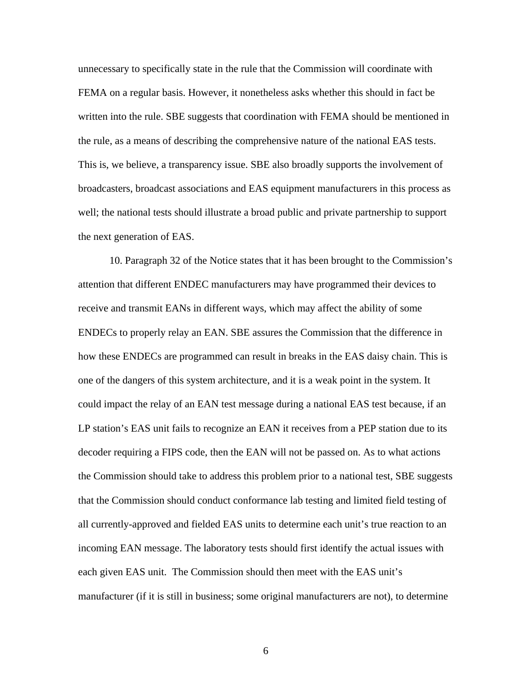unnecessary to specifically state in the rule that the Commission will coordinate with FEMA on a regular basis. However, it nonetheless asks whether this should in fact be written into the rule. SBE suggests that coordination with FEMA should be mentioned in the rule, as a means of describing the comprehensive nature of the national EAS tests. This is, we believe, a transparency issue. SBE also broadly supports the involvement of broadcasters, broadcast associations and EAS equipment manufacturers in this process as well; the national tests should illustrate a broad public and private partnership to support the next generation of EAS.

 10. Paragraph 32 of the Notice states that it has been brought to the Commission's attention that different ENDEC manufacturers may have programmed their devices to receive and transmit EANs in different ways, which may affect the ability of some ENDECs to properly relay an EAN. SBE assures the Commission that the difference in how these ENDECs are programmed can result in breaks in the EAS daisy chain. This is one of the dangers of this system architecture, and it is a weak point in the system. It could impact the relay of an EAN test message during a national EAS test because, if an LP station's EAS unit fails to recognize an EAN it receives from a PEP station due to its decoder requiring a FIPS code, then the EAN will not be passed on. As to what actions the Commission should take to address this problem prior to a national test, SBE suggests that the Commission should conduct conformance lab testing and limited field testing of all currently-approved and fielded EAS units to determine each unit's true reaction to an incoming EAN message. The laboratory tests should first identify the actual issues with each given EAS unit. The Commission should then meet with the EAS unit's manufacturer (if it is still in business; some original manufacturers are not), to determine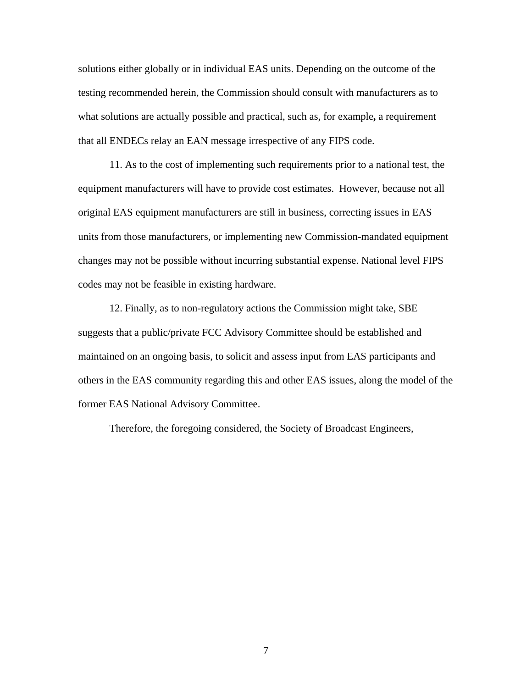solutions either globally or in individual EAS units. Depending on the outcome of the testing recommended herein, the Commission should consult with manufacturers as to what solutions are actually possible and practical, such as, for example**,** a requirement that all ENDECs relay an EAN message irrespective of any FIPS code.

 11. As to the cost of implementing such requirements prior to a national test, the equipment manufacturers will have to provide cost estimates. However, because not all original EAS equipment manufacturers are still in business, correcting issues in EAS units from those manufacturers, or implementing new Commission-mandated equipment changes may not be possible without incurring substantial expense. National level FIPS codes may not be feasible in existing hardware.

 12. Finally, as to non-regulatory actions the Commission might take, SBE suggests that a public/private FCC Advisory Committee should be established and maintained on an ongoing basis, to solicit and assess input from EAS participants and others in the EAS community regarding this and other EAS issues, along the model of the former EAS National Advisory Committee.

Therefore, the foregoing considered, the Society of Broadcast Engineers,